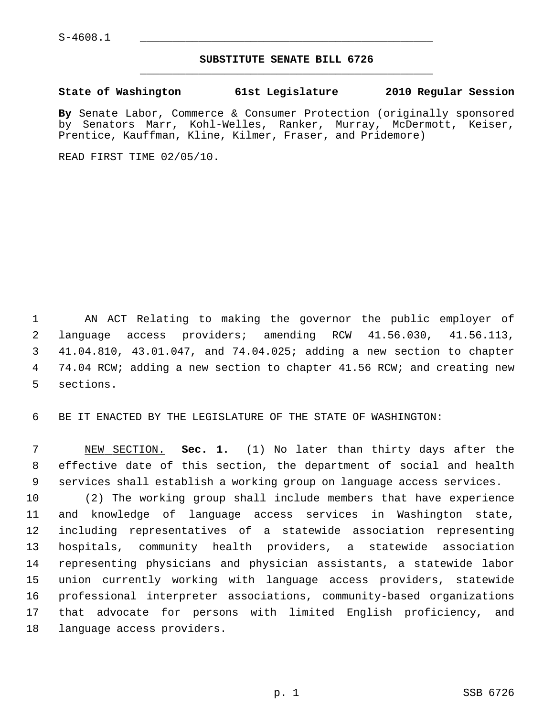## **SUBSTITUTE SENATE BILL 6726** \_\_\_\_\_\_\_\_\_\_\_\_\_\_\_\_\_\_\_\_\_\_\_\_\_\_\_\_\_\_\_\_\_\_\_\_\_\_\_\_\_\_\_\_\_

## **State of Washington 61st Legislature 2010 Regular Session**

**By** Senate Labor, Commerce & Consumer Protection (originally sponsored by Senators Marr, Kohl-Welles, Ranker, Murray, McDermott, Keiser, Prentice, Kauffman, Kline, Kilmer, Fraser, and Pridemore)

READ FIRST TIME 02/05/10.

 1 AN ACT Relating to making the governor the public employer of 2 language access providers; amending RCW 41.56.030, 41.56.113, 3 41.04.810, 43.01.047, and 74.04.025; adding a new section to chapter 4 74.04 RCW; adding a new section to chapter 41.56 RCW; and creating new 5 sections.

6 BE IT ENACTED BY THE LEGISLATURE OF THE STATE OF WASHINGTON:

 7 NEW SECTION. **Sec. 1.** (1) No later than thirty days after the 8 effective date of this section, the department of social and health 9 services shall establish a working group on language access services.

10 (2) The working group shall include members that have experience 11 and knowledge of language access services in Washington state, 12 including representatives of a statewide association representing 13 hospitals, community health providers, a statewide association 14 representing physicians and physician assistants, a statewide labor 15 union currently working with language access providers, statewide 16 professional interpreter associations, community-based organizations 17 that advocate for persons with limited English proficiency, and 18 language access providers.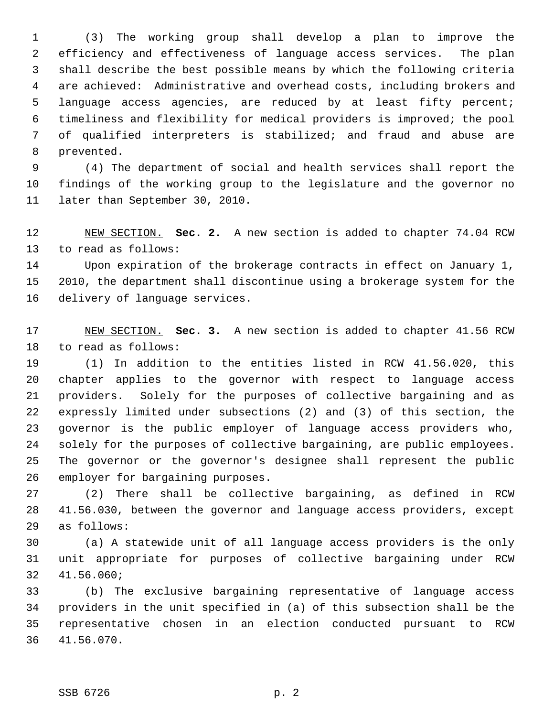1 (3) The working group shall develop a plan to improve the 2 efficiency and effectiveness of language access services. The plan 3 shall describe the best possible means by which the following criteria 4 are achieved: Administrative and overhead costs, including brokers and 5 language access agencies, are reduced by at least fifty percent; 6 timeliness and flexibility for medical providers is improved; the pool 7 of qualified interpreters is stabilized; and fraud and abuse are 8 prevented.

 9 (4) The department of social and health services shall report the 10 findings of the working group to the legislature and the governor no 11 later than September 30, 2010.

12 NEW SECTION. **Sec. 2.** A new section is added to chapter 74.04 RCW 13 to read as follows:

14 Upon expiration of the brokerage contracts in effect on January 1, 15 2010, the department shall discontinue using a brokerage system for the 16 delivery of language services.

17 NEW SECTION. **Sec. 3.** A new section is added to chapter 41.56 RCW 18 to read as follows:

19 (1) In addition to the entities listed in RCW 41.56.020, this 20 chapter applies to the governor with respect to language access 21 providers. Solely for the purposes of collective bargaining and as 22 expressly limited under subsections (2) and (3) of this section, the 23 governor is the public employer of language access providers who, 24 solely for the purposes of collective bargaining, are public employees. 25 The governor or the governor's designee shall represent the public 26 employer for bargaining purposes.

27 (2) There shall be collective bargaining, as defined in RCW 28 41.56.030, between the governor and language access providers, except 29 as follows:

30 (a) A statewide unit of all language access providers is the only 31 unit appropriate for purposes of collective bargaining under RCW 32 41.56.060;

33 (b) The exclusive bargaining representative of language access 34 providers in the unit specified in (a) of this subsection shall be the 35 representative chosen in an election conducted pursuant to RCW 36 41.56.070.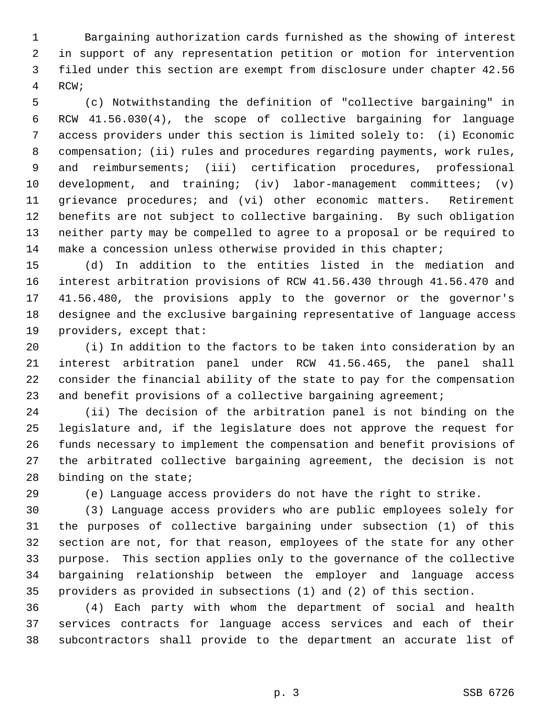1 Bargaining authorization cards furnished as the showing of interest 2 in support of any representation petition or motion for intervention 3 filed under this section are exempt from disclosure under chapter 42.56 4 RCW;

 5 (c) Notwithstanding the definition of "collective bargaining" in 6 RCW 41.56.030(4), the scope of collective bargaining for language 7 access providers under this section is limited solely to: (i) Economic 8 compensation; (ii) rules and procedures regarding payments, work rules, 9 and reimbursements; (iii) certification procedures, professional 10 development, and training; (iv) labor-management committees; (v) 11 grievance procedures; and (vi) other economic matters. Retirement 12 benefits are not subject to collective bargaining. By such obligation 13 neither party may be compelled to agree to a proposal or be required to 14 make a concession unless otherwise provided in this chapter;

15 (d) In addition to the entities listed in the mediation and 16 interest arbitration provisions of RCW 41.56.430 through 41.56.470 and 17 41.56.480, the provisions apply to the governor or the governor's 18 designee and the exclusive bargaining representative of language access 19 providers, except that:

20 (i) In addition to the factors to be taken into consideration by an 21 interest arbitration panel under RCW 41.56.465, the panel shall 22 consider the financial ability of the state to pay for the compensation 23 and benefit provisions of a collective bargaining agreement;

24 (ii) The decision of the arbitration panel is not binding on the 25 legislature and, if the legislature does not approve the request for 26 funds necessary to implement the compensation and benefit provisions of 27 the arbitrated collective bargaining agreement, the decision is not 28 binding on the state;

29 (e) Language access providers do not have the right to strike.

30 (3) Language access providers who are public employees solely for 31 the purposes of collective bargaining under subsection (1) of this 32 section are not, for that reason, employees of the state for any other 33 purpose. This section applies only to the governance of the collective 34 bargaining relationship between the employer and language access 35 providers as provided in subsections (1) and (2) of this section.

36 (4) Each party with whom the department of social and health 37 services contracts for language access services and each of their 38 subcontractors shall provide to the department an accurate list of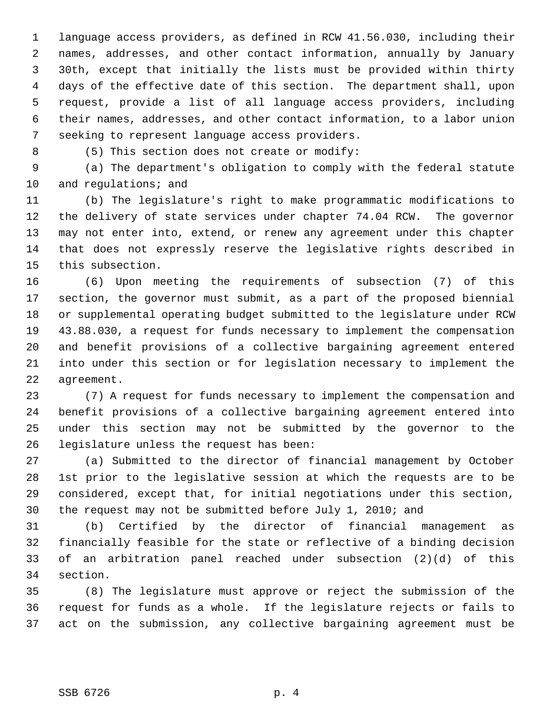1 language access providers, as defined in RCW 41.56.030, including their 2 names, addresses, and other contact information, annually by January 3 30th, except that initially the lists must be provided within thirty 4 days of the effective date of this section. The department shall, upon 5 request, provide a list of all language access providers, including 6 their names, addresses, and other contact information, to a labor union 7 seeking to represent language access providers.

8 (5) This section does not create or modify:

 9 (a) The department's obligation to comply with the federal statute 10 and regulations; and

11 (b) The legislature's right to make programmatic modifications to 12 the delivery of state services under chapter 74.04 RCW. The governor 13 may not enter into, extend, or renew any agreement under this chapter 14 that does not expressly reserve the legislative rights described in 15 this subsection.

16 (6) Upon meeting the requirements of subsection (7) of this 17 section, the governor must submit, as a part of the proposed biennial 18 or supplemental operating budget submitted to the legislature under RCW 19 43.88.030, a request for funds necessary to implement the compensation 20 and benefit provisions of a collective bargaining agreement entered 21 into under this section or for legislation necessary to implement the 22 agreement.

23 (7) A request for funds necessary to implement the compensation and 24 benefit provisions of a collective bargaining agreement entered into 25 under this section may not be submitted by the governor to the 26 legislature unless the request has been:

27 (a) Submitted to the director of financial management by October 28 1st prior to the legislative session at which the requests are to be 29 considered, except that, for initial negotiations under this section, 30 the request may not be submitted before July 1, 2010; and

31 (b) Certified by the director of financial management as 32 financially feasible for the state or reflective of a binding decision 33 of an arbitration panel reached under subsection (2)(d) of this 34 section.

35 (8) The legislature must approve or reject the submission of the 36 request for funds as a whole. If the legislature rejects or fails to 37 act on the submission, any collective bargaining agreement must be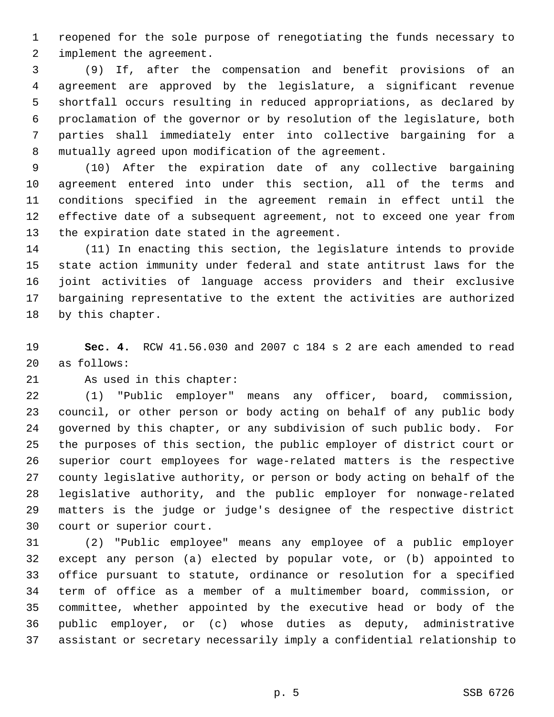1 reopened for the sole purpose of renegotiating the funds necessary to 2 implement the agreement.

 3 (9) If, after the compensation and benefit provisions of an 4 agreement are approved by the legislature, a significant revenue 5 shortfall occurs resulting in reduced appropriations, as declared by 6 proclamation of the governor or by resolution of the legislature, both 7 parties shall immediately enter into collective bargaining for a 8 mutually agreed upon modification of the agreement.

 9 (10) After the expiration date of any collective bargaining 10 agreement entered into under this section, all of the terms and 11 conditions specified in the agreement remain in effect until the 12 effective date of a subsequent agreement, not to exceed one year from 13 the expiration date stated in the agreement.

14 (11) In enacting this section, the legislature intends to provide 15 state action immunity under federal and state antitrust laws for the 16 joint activities of language access providers and their exclusive 17 bargaining representative to the extent the activities are authorized 18 by this chapter.

19 **Sec. 4.** RCW 41.56.030 and 2007 c 184 s 2 are each amended to read 20 as follows:

21 As used in this chapter:

22 (1) "Public employer" means any officer, board, commission, 23 council, or other person or body acting on behalf of any public body 24 governed by this chapter, or any subdivision of such public body. For 25 the purposes of this section, the public employer of district court or 26 superior court employees for wage-related matters is the respective 27 county legislative authority, or person or body acting on behalf of the 28 legislative authority, and the public employer for nonwage-related 29 matters is the judge or judge's designee of the respective district 30 court or superior court.

31 (2) "Public employee" means any employee of a public employer 32 except any person (a) elected by popular vote, or (b) appointed to 33 office pursuant to statute, ordinance or resolution for a specified 34 term of office as a member of a multimember board, commission, or 35 committee, whether appointed by the executive head or body of the 36 public employer, or (c) whose duties as deputy, administrative 37 assistant or secretary necessarily imply a confidential relationship to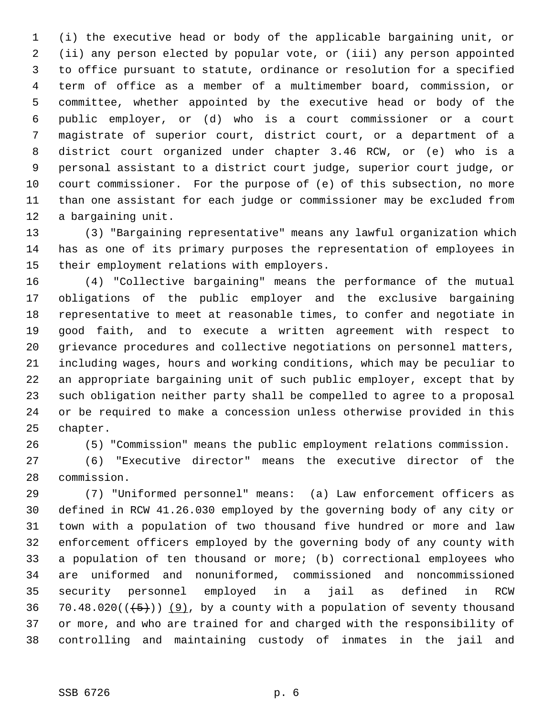1 (i) the executive head or body of the applicable bargaining unit, or 2 (ii) any person elected by popular vote, or (iii) any person appointed 3 to office pursuant to statute, ordinance or resolution for a specified 4 term of office as a member of a multimember board, commission, or 5 committee, whether appointed by the executive head or body of the 6 public employer, or (d) who is a court commissioner or a court 7 magistrate of superior court, district court, or a department of a 8 district court organized under chapter 3.46 RCW, or (e) who is a 9 personal assistant to a district court judge, superior court judge, or 10 court commissioner. For the purpose of (e) of this subsection, no more 11 than one assistant for each judge or commissioner may be excluded from 12 a bargaining unit.

13 (3) "Bargaining representative" means any lawful organization which 14 has as one of its primary purposes the representation of employees in 15 their employment relations with employers.

16 (4) "Collective bargaining" means the performance of the mutual 17 obligations of the public employer and the exclusive bargaining 18 representative to meet at reasonable times, to confer and negotiate in 19 good faith, and to execute a written agreement with respect to 20 grievance procedures and collective negotiations on personnel matters, 21 including wages, hours and working conditions, which may be peculiar to 22 an appropriate bargaining unit of such public employer, except that by 23 such obligation neither party shall be compelled to agree to a proposal 24 or be required to make a concession unless otherwise provided in this 25 chapter.

26 (5) "Commission" means the public employment relations commission.

27 (6) "Executive director" means the executive director of the 28 commission.

29 (7) "Uniformed personnel" means: (a) Law enforcement officers as 30 defined in RCW 41.26.030 employed by the governing body of any city or 31 town with a population of two thousand five hundred or more and law 32 enforcement officers employed by the governing body of any county with 33 a population of ten thousand or more; (b) correctional employees who 34 are uniformed and nonuniformed, commissioned and noncommissioned 35 security personnel employed in a jail as defined in RCW 36 70.48.020( $(\frac{5}{2})$ ) (9), by a county with a population of seventy thousand 37 or more, and who are trained for and charged with the responsibility of 38 controlling and maintaining custody of inmates in the jail and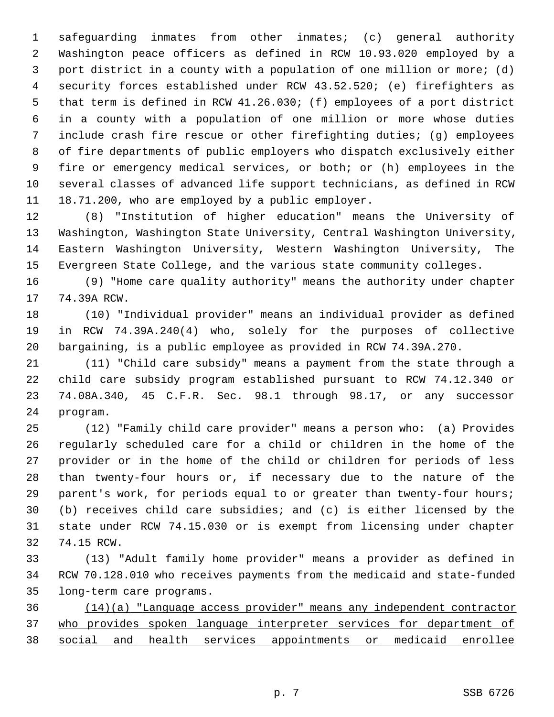1 safeguarding inmates from other inmates; (c) general authority 2 Washington peace officers as defined in RCW 10.93.020 employed by a 3 port district in a county with a population of one million or more; (d) 4 security forces established under RCW 43.52.520; (e) firefighters as 5 that term is defined in RCW 41.26.030; (f) employees of a port district 6 in a county with a population of one million or more whose duties 7 include crash fire rescue or other firefighting duties; (g) employees 8 of fire departments of public employers who dispatch exclusively either 9 fire or emergency medical services, or both; or (h) employees in the 10 several classes of advanced life support technicians, as defined in RCW 11 18.71.200, who are employed by a public employer.

12 (8) "Institution of higher education" means the University of 13 Washington, Washington State University, Central Washington University, 14 Eastern Washington University, Western Washington University, The 15 Evergreen State College, and the various state community colleges.

16 (9) "Home care quality authority" means the authority under chapter 17 74.39A RCW.

18 (10) "Individual provider" means an individual provider as defined 19 in RCW 74.39A.240(4) who, solely for the purposes of collective 20 bargaining, is a public employee as provided in RCW 74.39A.270.

21 (11) "Child care subsidy" means a payment from the state through a 22 child care subsidy program established pursuant to RCW 74.12.340 or 23 74.08A.340, 45 C.F.R. Sec. 98.1 through 98.17, or any successor 24 program.

25 (12) "Family child care provider" means a person who: (a) Provides 26 regularly scheduled care for a child or children in the home of the 27 provider or in the home of the child or children for periods of less 28 than twenty-four hours or, if necessary due to the nature of the 29 parent's work, for periods equal to or greater than twenty-four hours; 30 (b) receives child care subsidies; and (c) is either licensed by the 31 state under RCW 74.15.030 or is exempt from licensing under chapter 32 74.15 RCW.

33 (13) "Adult family home provider" means a provider as defined in 34 RCW 70.128.010 who receives payments from the medicaid and state-funded 35 long-term care programs.

36 (14)(a) "Language access provider" means any independent contractor 37 who provides spoken language interpreter services for department of 38 social and health services appointments or medicaid enrollee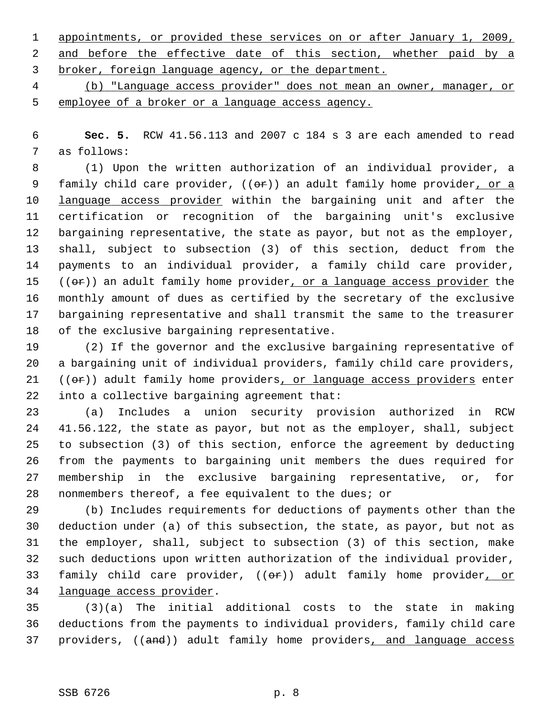1 appointments, or provided these services on or after January 1, 2009, 2 and before the effective date of this section, whether paid by a 3 broker, foreign language agency, or the department.

 4 (b) "Language access provider" does not mean an owner, manager, or 5 employee of a broker or a language access agency.

 6 **Sec. 5.** RCW 41.56.113 and 2007 c 184 s 3 are each amended to read 7 as follows:

 8 (1) Upon the written authorization of an individual provider, a 9 family child care provider,  $((\theta \hat{r}))$  an adult family home provider, or a 10 language access provider within the bargaining unit and after the 11 certification or recognition of the bargaining unit's exclusive 12 bargaining representative, the state as payor, but not as the employer, 13 shall, subject to subsection (3) of this section, deduct from the 14 payments to an individual provider, a family child care provider, 15  $((\theta \cdot \hat{r}))$  an adult family home provider, or a language access provider the 16 monthly amount of dues as certified by the secretary of the exclusive 17 bargaining representative and shall transmit the same to the treasurer 18 of the exclusive bargaining representative.

19 (2) If the governor and the exclusive bargaining representative of 20 a bargaining unit of individual providers, family child care providers, 21 ((or)) adult family home providers, or language access providers enter 22 into a collective bargaining agreement that:

23 (a) Includes a union security provision authorized in RCW 24 41.56.122, the state as payor, but not as the employer, shall, subject 25 to subsection (3) of this section, enforce the agreement by deducting 26 from the payments to bargaining unit members the dues required for 27 membership in the exclusive bargaining representative, or, for 28 nonmembers thereof, a fee equivalent to the dues; or

29 (b) Includes requirements for deductions of payments other than the 30 deduction under (a) of this subsection, the state, as payor, but not as 31 the employer, shall, subject to subsection (3) of this section, make 32 such deductions upon written authorization of the individual provider, 33 family child care provider, ((or)) adult family home provider, or 34 language access provider.

35 (3)(a) The initial additional costs to the state in making 36 deductions from the payments to individual providers, family child care 37 providers, ((and)) adult family home providers, and language access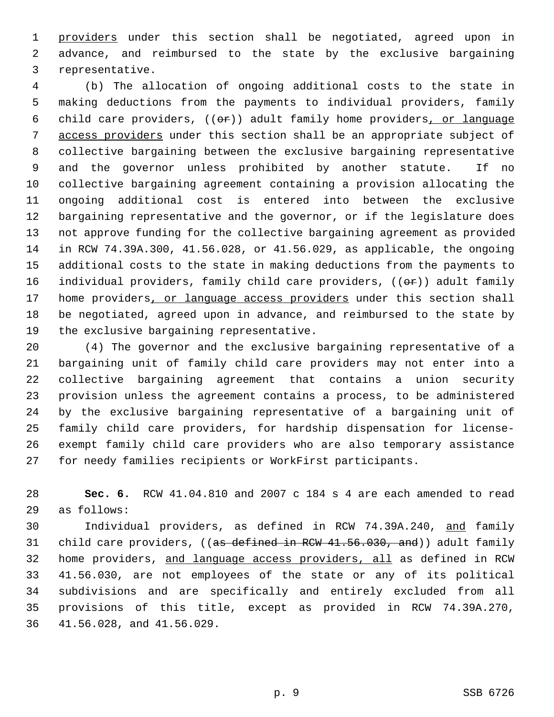1 providers under this section shall be negotiated, agreed upon in 2 advance, and reimbursed to the state by the exclusive bargaining 3 representative.

 4 (b) The allocation of ongoing additional costs to the state in 5 making deductions from the payments to individual providers, family 6 child care providers,  $((\theta \hat{r}))$  adult family home providers, or language 7 access providers under this section shall be an appropriate subject of 8 collective bargaining between the exclusive bargaining representative 9 and the governor unless prohibited by another statute. If no 10 collective bargaining agreement containing a provision allocating the 11 ongoing additional cost is entered into between the exclusive 12 bargaining representative and the governor, or if the legislature does 13 not approve funding for the collective bargaining agreement as provided 14 in RCW 74.39A.300, 41.56.028, or 41.56.029, as applicable, the ongoing 15 additional costs to the state in making deductions from the payments to 16 individual providers, family child care providers,  $((\theta \hat{r}))$  adult family 17 home providers, or language access providers under this section shall 18 be negotiated, agreed upon in advance, and reimbursed to the state by 19 the exclusive bargaining representative.

20 (4) The governor and the exclusive bargaining representative of a 21 bargaining unit of family child care providers may not enter into a 22 collective bargaining agreement that contains a union security 23 provision unless the agreement contains a process, to be administered 24 by the exclusive bargaining representative of a bargaining unit of 25 family child care providers, for hardship dispensation for license-26 exempt family child care providers who are also temporary assistance 27 for needy families recipients or WorkFirst participants.

28 **Sec. 6.** RCW 41.04.810 and 2007 c 184 s 4 are each amended to read 29 as follows:

30 Individual providers, as defined in RCW 74.39A.240, and family 31 child care providers, ((as defined in RCW 41.56.030, and)) adult family 32 home providers, and language access providers, all as defined in RCW 33 41.56.030, are not employees of the state or any of its political 34 subdivisions and are specifically and entirely excluded from all 35 provisions of this title, except as provided in RCW 74.39A.270, 36 41.56.028, and 41.56.029.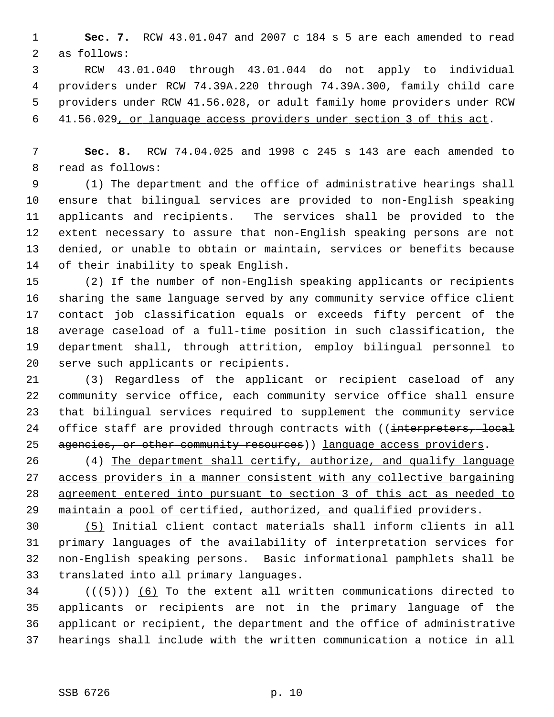1 **Sec. 7.** RCW 43.01.047 and 2007 c 184 s 5 are each amended to read 2 as follows:

 3 RCW 43.01.040 through 43.01.044 do not apply to individual 4 providers under RCW 74.39A.220 through 74.39A.300, family child care 5 providers under RCW 41.56.028, or adult family home providers under RCW 6 41.56.029, or language access providers under section 3 of this act.

 7 **Sec. 8.** RCW 74.04.025 and 1998 c 245 s 143 are each amended to 8 read as follows:

 9 (1) The department and the office of administrative hearings shall 10 ensure that bilingual services are provided to non-English speaking 11 applicants and recipients. The services shall be provided to the 12 extent necessary to assure that non-English speaking persons are not 13 denied, or unable to obtain or maintain, services or benefits because 14 of their inability to speak English.

15 (2) If the number of non-English speaking applicants or recipients 16 sharing the same language served by any community service office client 17 contact job classification equals or exceeds fifty percent of the 18 average caseload of a full-time position in such classification, the 19 department shall, through attrition, employ bilingual personnel to 20 serve such applicants or recipients.

21 (3) Regardless of the applicant or recipient caseload of any 22 community service office, each community service office shall ensure 23 that bilingual services required to supplement the community service 24 office staff are provided through contracts with ((interpreters, local 25 agencies, or other community resources) language access providers.

26 (4) The department shall certify, authorize, and qualify language access providers in a manner consistent with any collective bargaining agreement entered into pursuant to section 3 of this act as needed to maintain a pool of certified, authorized, and qualified providers.

30 (5) Initial client contact materials shall inform clients in all 31 primary languages of the availability of interpretation services for 32 non-English speaking persons. Basic informational pamphlets shall be 33 translated into all primary languages.

 $(1 + 5)$ ) (6) To the extent all written communications directed to 35 applicants or recipients are not in the primary language of the 36 applicant or recipient, the department and the office of administrative 37 hearings shall include with the written communication a notice in all